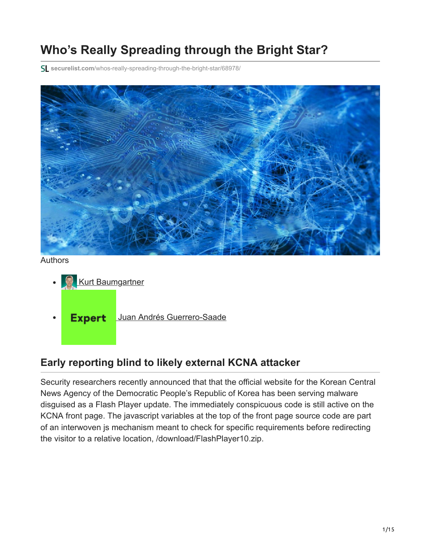# **Who's Really Spreading through the Bright Star?**

**securelist.com**[/whos-really-spreading-through-the-bright-star/68978/](https://securelist.com/whos-really-spreading-through-the-bright-star/68978/)



Authors

- **[Kurt Baumgartner](https://securelist.com/author/kurtb/)**
- Expert [Juan Andrés Guerrero-Saade](https://securelist.com/author/juanguerrero/)  $\bullet$

## **Early reporting blind to likely external KCNA attacker**

Security researchers recently announced that that the official website for the Korean Central News Agency of the Democratic People's Republic of Korea has been serving malware disguised as a Flash Player update. The immediately conspicuous code is still active on the KCNA front page. The javascript variables at the top of the front page source code are part of an interwoven js mechanism meant to check for specific requirements before redirecting the visitor to a relative location, /download/FlashPlayer10.zip.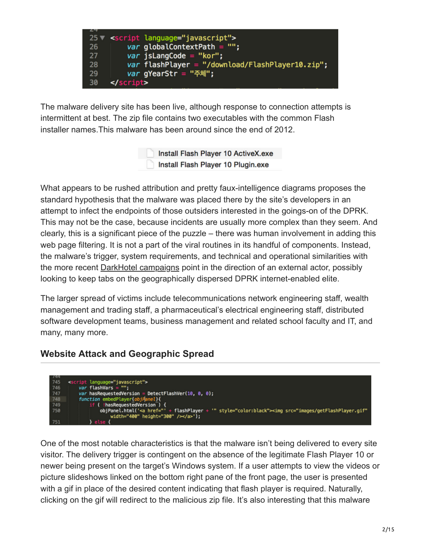

The malware delivery site has been live, although response to connection attempts is intermittent at best. The zip file contains two executables with the common Flash installer names.This malware has been around since the end of 2012.

> Install Flash Player 10 ActiveX.exe Install Flash Player 10 Plugin.exe

What appears to be rushed attribution and pretty faux-intelligence diagrams proposes the standard hypothesis that the malware was placed there by the site's developers in an attempt to infect the endpoints of those outsiders interested in the goings-on of the DPRK. This may not be the case, because incidents are usually more complex than they seem. And clearly, this is a significant piece of the puzzle – there was human involvement in adding this web page filtering. It is not a part of the viral routines in its handful of components. Instead, the malware's trigger, system requirements, and technical and operational similarities with the more recent [DarkHotel campaigns](http://securelist.com/blog/research/66779/the-darkhotel-apt/) point in the direction of an external actor, possibly looking to keep tabs on the geographically dispersed DPRK internet-enabled elite.

The larger spread of victims include telecommunications network engineering staff, wealth management and trading staff, a pharmaceutical's electrical engineering staff, distributed software development teams, business management and related school faculty and IT, and many, many more.

#### **Website Attack and Geographic Spread**



One of the most notable characteristics is that the malware isn't being delivered to every site visitor. The delivery trigger is contingent on the absence of the legitimate Flash Player 10 or newer being present on the target's Windows system. If a user attempts to view the videos or picture slideshows linked on the bottom right pane of the front page, the user is presented with a gif in place of the desired content indicating that flash player is required. Naturally, clicking on the gif will redirect to the malicious zip file. It's also interesting that this malware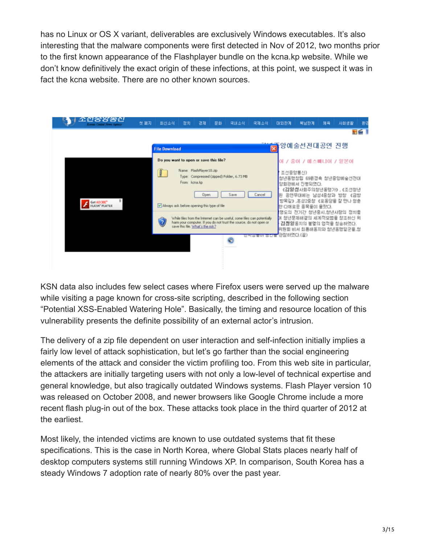has no Linux or OS X variant, deliverables are exclusively Windows executables. It's also interesting that the malware components were first detected in Nov of 2012, two months prior to the first known appearance of the Flashplayer bundle on the kcna.kp website. While we don't know definitively the exact origin of these infections, at this point, we suspect it was in fact the kcna website. There are no other known sources.



KSN data also includes few select cases where Firefox users were served up the malware while visiting a page known for cross-site scripting, described in the following section "Potential XSS-Enabled Watering Hole". Basically, the timing and resource location of this vulnerability presents the definite possibility of an external actor's intrusion.

The delivery of a zip file dependent on user interaction and self-infection initially implies a fairly low level of attack sophistication, but let's go farther than the social engineering elements of the attack and consider the victim profiling too. From this web site in particular, the attackers are initially targeting users with not only a low-level of technical expertise and general knowledge, but also tragically outdated Windows systems. Flash Player version 10 was released on October 2008, and newer browsers like Google Chrome include a more recent flash plug-in out of the box. These attacks took place in the third quarter of 2012 at the earliest.

Most likely, the intended victims are known to use outdated systems that fit these specifications. This is the case in North Korea, where Global Stats places nearly half of desktop computers systems still running Windows XP. In comparison, South Korea has a steady Windows 7 adoption rate of nearly 80% over the past year.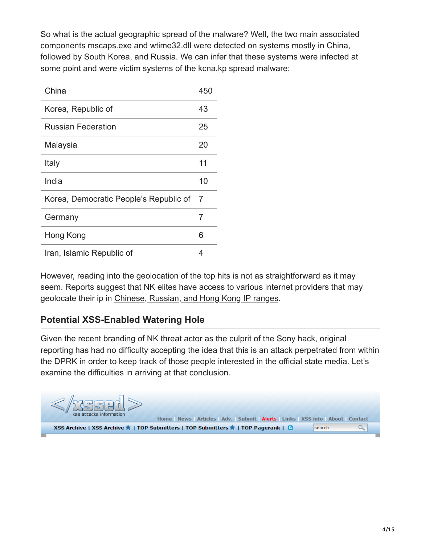So what is the actual geographic spread of the malware? Well, the two main associated components mscaps.exe and wtime32.dll were detected on systems mostly in China, followed by South Korea, and Russia. We can infer that these systems were infected at some point and were victim systems of the kcna.kp spread malware:

| China                                  | 450 |
|----------------------------------------|-----|
| Korea, Republic of                     | 43  |
| Russian Federation                     | 25  |
| Malaysia                               | 20  |
| Italy                                  | 11  |
| India                                  | 10  |
| Korea, Democratic People's Republic of | 7   |
| Germany                                | 7   |
| Hong Kong                              | 6   |
| Iran, Islamic Republic of              | 4   |

However, reading into the geolocation of the top hits is not as straightforward as it may seem. Reports suggest that NK elites have access to various internet providers that may geolocate their ip in [Chinese, Russian, and Hong Kong IP ranges](http://www.vox.com/2014/12/22/7435625/north-korea-internet).

## **Potential XSS-Enabled Watering Hole**

Given the recent branding of NK threat actor as the culprit of the Sony hack, original reporting has had no difficulty accepting the idea that this is an attack perpetrated from within the DPRK in order to keep track of those people interested in the official state media. Let's examine the difficulties in arriving at that conclusion.

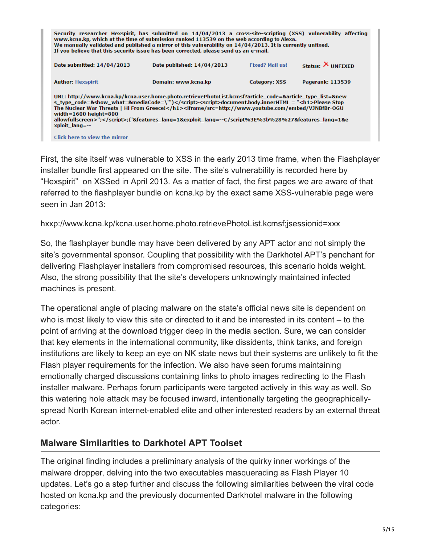|                                                                                                                                                                                                                                                                                                                                                                                                                                                                                            | Security researcher Hexspirit, has submitted on 14/04/2013 a cross-site-scripting (XSS) vulnerability affecting<br>www.kcna.kp, which at the time of submission ranked 113539 on the web according to Alexa.<br>We manually validated and published a mirror of this vulnerability on 14/04/2013. It is currently unfixed.<br>If you believe that this security issue has been corrected, please send us an e-mail. |                        |                          |
|--------------------------------------------------------------------------------------------------------------------------------------------------------------------------------------------------------------------------------------------------------------------------------------------------------------------------------------------------------------------------------------------------------------------------------------------------------------------------------------------|---------------------------------------------------------------------------------------------------------------------------------------------------------------------------------------------------------------------------------------------------------------------------------------------------------------------------------------------------------------------------------------------------------------------|------------------------|--------------------------|
| Date submitted: 14/04/2013                                                                                                                                                                                                                                                                                                                                                                                                                                                                 | Date published: 14/04/2013                                                                                                                                                                                                                                                                                                                                                                                          | <b>Fixed? Mail us!</b> | Status: $\times$ UNFIXED |
| <b>Author: Hexspirit</b>                                                                                                                                                                                                                                                                                                                                                                                                                                                                   | Domain: www.kcna.kp                                                                                                                                                                                                                                                                                                                                                                                                 | Category: XSS          | <b>Pagerank: 113539</b>  |
| URL: http://www.kcna.kp/kcna.user.home.photo.retrievePhotoList.kcmsf?article_code=&article_type_list=&new<br>s type code=&show what=&mediaCode=\'") <script>document.body.innerHTML = "<h1>Please Stop<br>The Nuclear War Threats   Hi From Greece!</h1><iframe/src=http://www.youtube.com/embed/VJNBfBr-OGU<br>width=<math>1600</math> height=<math>800</math><br>allowfullscreen>";</script> ;('&features_lang=1&exploit_lang=--C/script%3E%3b%28%27&features_lang=1&e<br>xploit lang=-- |                                                                                                                                                                                                                                                                                                                                                                                                                     |                        |                          |
| Click here to view the mirror                                                                                                                                                                                                                                                                                                                                                                                                                                                              |                                                                                                                                                                                                                                                                                                                                                                                                                     |                        |                          |

First, the site itself was vulnerable to XSS in the early 2013 time frame, when the Flashplayer installer bundle first appeared on the site. The site's vulnerability is recorded here by ["Hexspirit" on XSSed in April 2013. As a matter of fact, the first pages we are aware](http://www.xssed.com/mirror/79926/) of that referred to the flashplayer bundle on kcna.kp by the exact same XSS-vulnerable page were seen in Jan 2013:

hxxp://www.kcna.kp/kcna.user.home.photo.retrievePhotoList.kcmsf;jsessionid=xxx

So, the flashplayer bundle may have been delivered by any APT actor and not simply the site's governmental sponsor. Coupling that possibility with the Darkhotel APT's penchant for delivering Flashplayer installers from compromised resources, this scenario holds weight. Also, the strong possibility that the site's developers unknowingly maintained infected machines is present.

The operational angle of placing malware on the state's official news site is dependent on who is most likely to view this site or directed to it and be interested in its content – to the point of arriving at the download trigger deep in the media section. Sure, we can consider that key elements in the international community, like dissidents, think tanks, and foreign institutions are likely to keep an eye on NK state news but their systems are unlikely to fit the Flash player requirements for the infection. We also have seen forums maintaining emotionally charged discussions containing links to photo images redirecting to the Flash installer malware. Perhaps forum participants were targeted actively in this way as well. So this watering hole attack may be focused inward, intentionally targeting the geographicallyspread North Korean internet-enabled elite and other interested readers by an external threat actor.

#### **Malware Similarities to Darkhotel APT Toolset**

The original finding includes a preliminary analysis of the quirky inner workings of the malware dropper, delving into the two executables masquerading as Flash Player 10 updates. Let's go a step further and discuss the following similarities between the viral code hosted on kcna.kp and the previously documented Darkhotel malware in the following categories: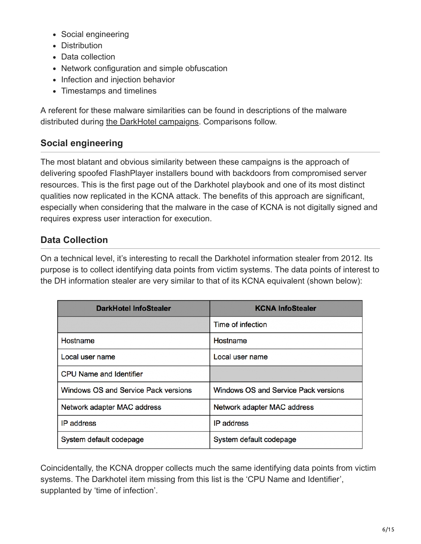- Social engineering
- Distribution
- Data collection
- Network configuration and simple obfuscation
- Infection and injection behavior
- Timestamps and timelines

A referent for these malware similarities can be found in descriptions of the malware distributed during [the DarkHotel campaigns](http://securelist.com/blog/research/66779/the-darkhotel-apt/). Comparisons follow.

## **Social engineering**

The most blatant and obvious similarity between these campaigns is the approach of delivering spoofed FlashPlayer installers bound with backdoors from compromised server resources. This is the first page out of the Darkhotel playbook and one of its most distinct qualities now replicated in the KCNA attack. The benefits of this approach are significant, especially when considering that the malware in the case of KCNA is not digitally signed and requires express user interaction for execution.

#### **Data Collection**

On a technical level, it's interesting to recall the Darkhotel information stealer from 2012. Its purpose is to collect identifying data points from victim systems. The data points of interest to the DH information stealer are very similar to that of its KCNA equivalent (shown below):

| DarkHotel InfoStealer                | <b>KCNA InfoStealer</b>              |
|--------------------------------------|--------------------------------------|
|                                      | Time of infection                    |
| Hostname                             | Hostname                             |
| Local user name                      | Local user name                      |
| <b>CPU Name and Identifier</b>       |                                      |
| Windows OS and Service Pack versions | Windows OS and Service Pack versions |
| Network adapter MAC address          | Network adapter MAC address          |
| <b>IP</b> address                    | <b>IP</b> address                    |
| System default codepage              | System default codepage              |

Coincidentally, the KCNA dropper collects much the same identifying data points from victim systems. The Darkhotel item missing from this list is the 'CPU Name and Identifier', supplanted by 'time of infection'.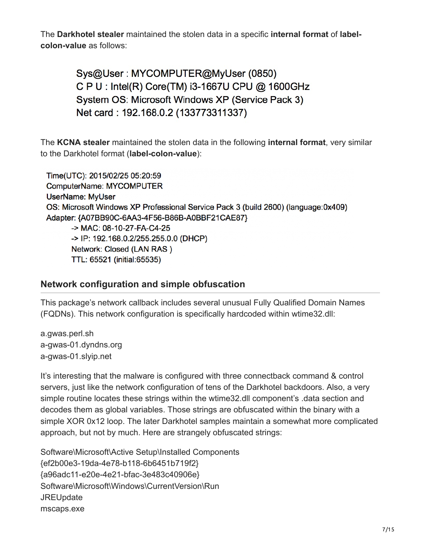The **Darkhotel stealer** maintained the stolen data in a specific **internal format** of **labelcolon-value** as follows:

> Sys@User: MYCOMPUTER@MyUser (0850) C P U : Intel(R) Core(TM) i3-1667U CPU @ 1600GHz System OS: Microsoft Windows XP (Service Pack 3) Net card: 192.168.0.2 (133773311337)

The **KCNA stealer** maintained the stolen data in the following **internal format**, very similar to the Darkhotel format (**label-colon-value**):

Time(UTC): 2015/02/25 05:20:59 ComputerName: MYCOMPUTER **UserName: MyUser** OS: Microsoft Windows XP Professional Service Pack 3 (build 2600) (language:0x409) Adapter: {A07BB90C-6AA3-4F56-B86B-A0BBF21CAE87} -> MAC: 08-10-27-FA-C4-25 -> IP: 192.168.0.2/255.255.0.0 (DHCP) Network: Closed (LAN RAS) TTL: 65521 (initial:65535)

#### **Network configuration and simple obfuscation**

This package's network callback includes several unusual Fully Qualified Domain Names (FQDNs). This network configuration is specifically hardcoded within wtime32.dll:

a.gwas.perl.sh a-gwas-01.dyndns.org a-gwas-01.slyip.net

It's interesting that the malware is configured with three connectback command & control servers, just like the network configuration of tens of the Darkhotel backdoors. Also, a very simple routine locates these strings within the wtime32.dll component's .data section and decodes them as global variables. Those strings are obfuscated within the binary with a simple XOR 0x12 loop. The later Darkhotel samples maintain a somewhat more complicated approach, but not by much. Here are strangely obfuscated strings:

Software\Microsoft\Active Setup\Installed Components {ef2b00e3-19da-4e78-b118-6b6451b719f2} {a96adc11-e20e-4e21-bfac-3e483c40906e} Software\Microsoft\Windows\CurrentVersion\Run **JREUpdate** mscaps.exe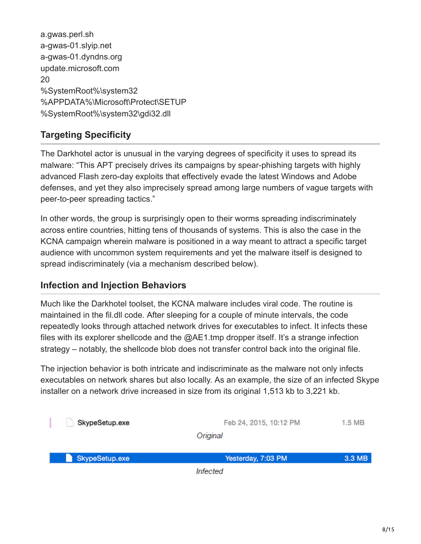| a.gwas.perl.sh                    |  |
|-----------------------------------|--|
| a-gwas-01.slyip.net               |  |
| a-gwas-01.dyndns.org              |  |
| update.microsoft.com              |  |
| 20                                |  |
| %SystemRoot%\system32             |  |
| %APPDATA%\Microsoft\Protect\SETUP |  |
| %SystemRoot%\system32\gdi32.dll   |  |
|                                   |  |

## **Targeting Specificity**

The Darkhotel actor is unusual in the varying degrees of specificity it uses to spread its malware: "This APT precisely drives its campaigns by spear-phishing targets with highly advanced Flash zero-day exploits that effectively evade the latest Windows and Adobe defenses, and yet they also imprecisely spread among large numbers of vague targets with peer-to-peer spreading tactics."

In other words, the group is surprisingly open to their worms spreading indiscriminately across entire countries, hitting tens of thousands of systems. This is also the case in the KCNA campaign wherein malware is positioned in a way meant to attract a specific target audience with uncommon system requirements and yet the malware itself is designed to spread indiscriminately (via a mechanism described below).

#### **Infection and Injection Behaviors**

Much like the Darkhotel toolset, the KCNA malware includes viral code. The routine is maintained in the fil.dll code. After sleeping for a couple of minute intervals, the code repeatedly looks through attached network drives for executables to infect. It infects these files with its explorer shellcode and the @AE1.tmp dropper itself. It's a strange infection strategy – notably, the shellcode blob does not transfer control back into the original file.

The injection behavior is both intricate and indiscriminate as the malware not only infects executables on network shares but also locally. As an example, the size of an infected Skype installer on a network drive increased in size from its original 1,513 kb to 3,221 kb.

|                | Infected               |        |
|----------------|------------------------|--------|
| SkypeSetup.exe | Yesterday, 7:03 PM     | 3.3 MB |
|                | Original               |        |
| SkypeSetup.exe | Feb 24, 2015, 10:12 PM | 1.5 MB |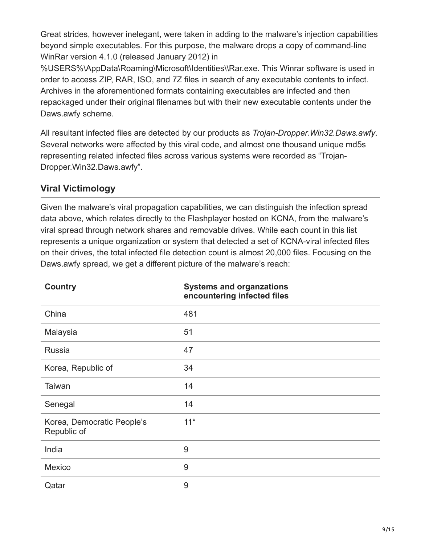Great strides, however inelegant, were taken in adding to the malware's injection capabilities beyond simple executables. For this purpose, the malware drops a copy of command-line WinRar version 4.1.0 (released January 2012) in

%USERS%\AppData\Roaming\Microsoft\Identities\\Rar.exe. This Winrar software is used in order to access ZIP, RAR, ISO, and 7Z files in search of any executable contents to infect. Archives in the aforementioned formats containing executables are infected and then repackaged under their original filenames but with their new executable contents under the Daws.awfy scheme.

All resultant infected files are detected by our products as *Trojan-Dropper.Win32.Daws.awfy*. Several networks were affected by this viral code, and almost one thousand unique md5s representing related infected files across various systems were recorded as "Trojan-Dropper.Win32.Daws.awfy".

## **Viral Victimology**

Given the malware's viral propagation capabilities, we can distinguish the infection spread data above, which relates directly to the Flashplayer hosted on KCNA, from the malware's viral spread through network shares and removable drives. While each count in this list represents a unique organization or system that detected a set of KCNA-viral infected files on their drives, the total infected file detection count is almost 20,000 files. Focusing on the Daws.awfy spread, we get a different picture of the malware's reach:

| <b>Country</b>                            | <b>Systems and organzations</b><br>encountering infected files |
|-------------------------------------------|----------------------------------------------------------------|
| China                                     | 481                                                            |
| Malaysia                                  | 51                                                             |
| <b>Russia</b>                             | 47                                                             |
| Korea, Republic of                        | 34                                                             |
| Taiwan                                    | 14                                                             |
| Senegal                                   | 14                                                             |
| Korea, Democratic People's<br>Republic of | $11*$                                                          |
| India                                     | 9                                                              |
| Mexico                                    | 9                                                              |
| Qatar                                     | 9                                                              |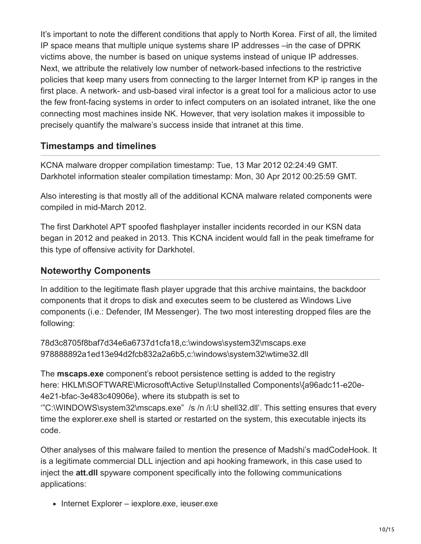It's important to note the different conditions that apply to North Korea. First of all, the limited IP space means that multiple unique systems share IP addresses –in the case of DPRK victims above, the number is based on unique systems instead of unique IP addresses. Next, we attribute the relatively low number of network-based infections to the restrictive policies that keep many users from connecting to the larger Internet from KP ip ranges in the first place. A network- and usb-based viral infector is a great tool for a malicious actor to use the few front-facing systems in order to infect computers on an isolated intranet, like the one connecting most machines inside NK. However, that very isolation makes it impossible to precisely quantify the malware's success inside that intranet at this time.

#### **Timestamps and timelines**

KCNA malware dropper compilation timestamp: Tue, 13 Mar 2012 02:24:49 GMT. Darkhotel information stealer compilation timestamp: Mon, 30 Apr 2012 00:25:59 GMT.

Also interesting is that mostly all of the additional KCNA malware related components were compiled in mid-March 2012.

The first Darkhotel APT spoofed flashplayer installer incidents recorded in our KSN data began in 2012 and peaked in 2013. This KCNA incident would fall in the peak timeframe for this type of offensive activity for Darkhotel.

#### **Noteworthy Components**

In addition to the legitimate flash player upgrade that this archive maintains, the backdoor components that it drops to disk and executes seem to be clustered as Windows Live components (i.e.: Defender, IM Messenger). The two most interesting dropped files are the following:

78d3c8705f8baf7d34e6a6737d1cfa18,c:\windows\system32\mscaps.exe 978888892a1ed13e94d2fcb832a2a6b5,c:\windows\system32\wtime32.dll

The **mscaps.exe** component's reboot persistence setting is added to the registry here: HKLM\SOFTWARE\Microsoft\Active Setup\Installed Components\{a96adc11-e20e-4e21-bfac-3e483c40906e}, where its stubpath is set to

'"C:\WINDOWS\system32\mscaps.exe" /s /n /i:U shell32.dll'. This setting ensures that every time the explorer.exe shell is started or restarted on the system, this executable injects its code.

Other analyses of this malware failed to mention the presence of Madshi's madCodeHook. It is a legitimate commercial DLL injection and api hooking framework, in this case used to inject the **att.dll** spyware component specifically into the following communications applications:

• Internet Explorer – iexplore.exe, ieuser.exe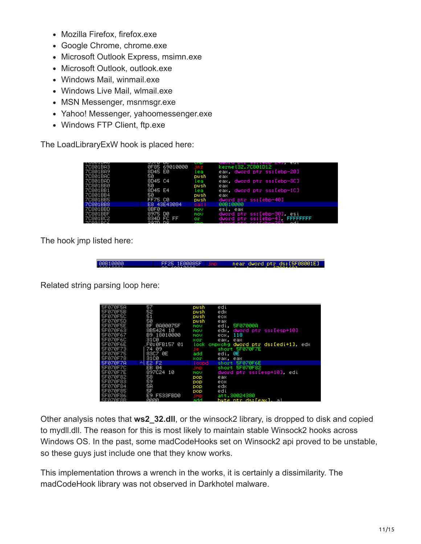- Mozilla Firefox, firefox.exe
- Google Chrome, chrome.exe
- Microsoft Outlook Express, msimn.exe
- Microsoft Outlook, outlook.exe
- Windows Mail, winmail.exe
- Windows Live Mail, wlmail.exe
- MSN Messenger, msnmsgr.exe
- Yahoo! Messenger, yahoomessenger.exe
- Windows FTP Client, ftp.exe

The LoadLibraryExW hook is placed here:

| <b>ICONTUME</b><br>7C801BA3<br>7C801BA9<br>7C801BAC | <u>JALU UU</u><br>0F85 69010000<br>8D45 E0<br>50 | .<br><b>THE R</b><br>lea               | aword her ppiremb ciri edi<br>kernel32.7C801D12<br>eax, dword ptr ss:[ebp-20]                                 |
|-----------------------------------------------------|--------------------------------------------------|----------------------------------------|---------------------------------------------------------------------------------------------------------------|
| 7C801BAD<br>7C801BB0                                | 8D45 C4<br>50                                    | push<br>lea<br>push                    | eax<br>eax, dword ptr ss:[ebp-3C]<br>eax                                                                      |
| 7C801BB1<br>7C801BB4<br>7C801BB5                    | 8D45 E4<br>50<br><b>FF75 C0</b>                  | lea.<br>bush.<br>push                  | eax, dword ptr ss:[ebp-1C]<br>eax<br>dword ptr ss:[ebp-40]                                                    |
| 70801BB8                                            | E8 43E43084                                      | oall                                   | 00B10000                                                                                                      |
| 7C801BBD<br>7C801BBF<br>7C801BC2<br>ZCOB1 DC4       | 8BF0<br>8975 DØ<br>834D FC FF<br>pazn ne         | MOV<br>mov<br>or.<br><b>CONTRACTOR</b> | esi. eax<br>dword ptr ss:[ebp-30], esi<br>dword ptr ss:[ebp-4] <b>FFFFFFFF</b><br>duand etc. carlabet2001 adi |

The hook jmp listed here:

00B10000 FF25 1E00085F | jmp | near dword ptr ds:[5F08001E]

Related string parsing loop here:

| SF070F5A        | 57             | push         | edi                                    |
|-----------------|----------------|--------------|----------------------------------------|
| SF070F5B        | 52             | push         | edx                                    |
| SF070F5C        | 51             | push         | ecx                                    |
| SF070F5D        | 50             | push         | eax                                    |
| SF070FSE        | BF 0A00075F    | mou          | <b>SF07000A</b><br>edi.                |
| SF070F63        | 8B5424 10      | mov          | edx, dword ptr ss:[esp+10]             |
| SF070F67        | B9 18010000    | mou          | еск. 118                               |
| SF070F6C        | 3100           | xor          | eax. eax                               |
| SF070F6E        | F0:0FB157 01   |              | lock empache dword ptr ds:[edi+1], eds |
| SF070F73        | 74 09          | .ie -        | short 5F070F7E                         |
| SF070F75        | 83C7 ØE        | add          | edi. ØE                                |
|                 |                |              |                                        |
| SF070F78        | 3100           | xor          | eax. eax                               |
| 5F070F7A        | E2 F2<br>시     | <b>Loopd</b> | SF070F6E<br>short                      |
| SF070F7C        | EB 04          | jmp          | short 5F070F82                         |
| <b>SF070F7E</b> | 897C24 10      | mov          | dword ptr ss:[esp+10], edi             |
| SF070F82        | 58             | pop          | eax                                    |
| SF070F83        | 59             | pop          | ecx                                    |
| SF070F84        | 5A             | pop          | edx                                    |
| SF070F85        | 5F             | pop          | edi                                    |
| SF070F86        | E9<br>F533FBD0 |              | att.30024380                           |
| EFØZØFSR        | аааа           | 588          | buta nto desfasul.<br>- - -            |

Other analysis notes that **ws2\_32.dll**, or the winsock2 library, is dropped to disk and copied to mydll.dll. The reason for this is most likely to maintain stable Winsock2 hooks across Windows OS. In the past, some madCodeHooks set on Winsock2 api proved to be unstable, so these guys just include one that they know works.

This implementation throws a wrench in the works, it is certainly a dissimilarity. The madCodeHook library was not observed in Darkhotel malware.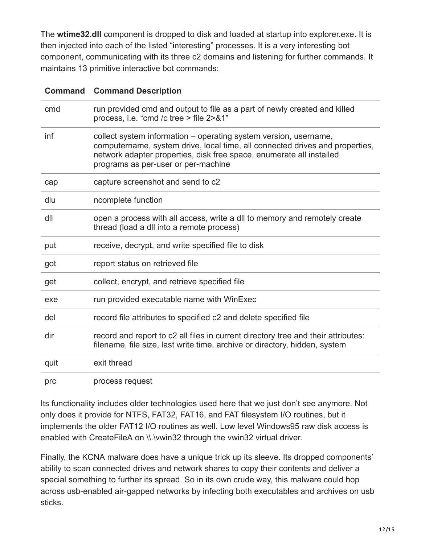The **wtime32.dll** component is dropped to disk and loaded at startup into explorer.exe. It is then injected into each of the listed "interesting" processes. It is a very interesting bot component, communicating with its three c2 domains and listening for further commands. It maintains 13 primitive interactive bot commands:

| <b>Command</b> | <b>Command Description</b>                                                                                                                                                                                                                                      |
|----------------|-----------------------------------------------------------------------------------------------------------------------------------------------------------------------------------------------------------------------------------------------------------------|
| cmd            | run provided cmd and output to file as a part of newly created and killed<br>process, i.e. "cmd /c tree > file 2>&1"                                                                                                                                            |
| inf            | collect system information - operating system version, username,<br>computername, system drive, local time, all connected drives and properties,<br>network adapter properties, disk free space, enumerate all installed<br>programs as per-user or per-machine |
| cap            | capture screenshot and send to c2                                                                                                                                                                                                                               |
| dlu            | ncomplete function                                                                                                                                                                                                                                              |
| dll            | open a process with all access, write a dll to memory and remotely create<br>thread (load a dll into a remote process)                                                                                                                                          |
| put            | receive, decrypt, and write specified file to disk                                                                                                                                                                                                              |
| got            | report status on retrieved file                                                                                                                                                                                                                                 |
| get            | collect, encrypt, and retrieve specified file                                                                                                                                                                                                                   |
| exe            | run provided executable name with WinExec                                                                                                                                                                                                                       |
| del            | record file attributes to specified c2 and delete specified file                                                                                                                                                                                                |
| dir            | record and report to c2 all files in current directory tree and their attributes:<br>filename, file size, last write time, archive or directory, hidden, system                                                                                                 |
| quit           | exit thread                                                                                                                                                                                                                                                     |
| prc            | process request                                                                                                                                                                                                                                                 |

Its functionality includes older technologies used here that we just don't see anymore. Not only does it provide for NTFS, FAT32, FAT16, and FAT filesystem I/O routines, but it implements the older FAT12 I/O routines as well. Low level Windows95 raw disk access is enabled with CreateFileA on \\.\vwin32 through the vwin32 virtual driver.

Finally, the KCNA malware does have a unique trick up its sleeve. Its dropped components' ability to scan connected drives and network shares to copy their contents and deliver a special something to further its spread. So in its own crude way, this malware could hop across usb-enabled air-gapped networks by infecting both executables and archives on usb sticks.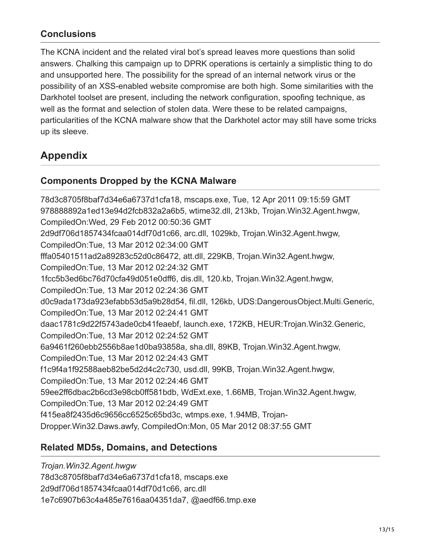### **Conclusions**

The KCNA incident and the related viral bot's spread leaves more questions than solid answers. Chalking this campaign up to DPRK operations is certainly a simplistic thing to do and unsupported here. The possibility for the spread of an internal network virus or the possibility of an XSS-enabled website compromise are both high. Some similarities with the Darkhotel toolset are present, including the network configuration, spoofing technique, as well as the format and selection of stolen data. Were these to be related campaigns, particularities of the KCNA malware show that the Darkhotel actor may still have some tricks up its sleeve.

## **Appendix**

#### **Components Dropped by the KCNA Malware**

78d3c8705f8baf7d34e6a6737d1cfa18, mscaps.exe, Tue, 12 Apr 2011 09:15:59 GMT 978888892a1ed13e94d2fcb832a2a6b5, wtime32.dll, 213kb, Trojan.Win32.Agent.hwgw, CompiledOn:Wed, 29 Feb 2012 00:50:36 GMT 2d9df706d1857434fcaa014df70d1c66, arc.dll, 1029kb, Trojan.Win32.Agent.hwgw, CompiledOn:Tue, 13 Mar 2012 02:34:00 GMT fffa05401511ad2a89283c52d0c86472, att.dll, 229KB, Trojan.Win32.Agent.hwgw, CompiledOn:Tue, 13 Mar 2012 02:24:32 GMT 1fcc5b3ed6bc76d70cfa49d051e0dff6, dis.dll, 120.kb, Trojan.Win32.Agent.hwgw, CompiledOn:Tue, 13 Mar 2012 02:24:36 GMT d0c9ada173da923efabb53d5a9b28d54, fil.dll, 126kb, UDS:DangerousObject.Multi.Generic, CompiledOn:Tue, 13 Mar 2012 02:24:41 GMT daac1781c9d22f5743ade0cb41feaebf, launch.exe, 172KB, HEUR:Trojan.Win32.Generic, CompiledOn:Tue, 13 Mar 2012 02:24:52 GMT 6a9461f260ebb2556b8ae1d0ba93858a, sha.dll, 89KB, Trojan.Win32.Agent.hwgw, CompiledOn:Tue, 13 Mar 2012 02:24:43 GMT f1c9f4a1f92588aeb82be5d2d4c2c730, usd.dll, 99KB, Trojan.Win32.Agent.hwgw, CompiledOn:Tue, 13 Mar 2012 02:24:46 GMT 59ee2ff6dbac2b6cd3e98cb0ff581bdb, WdExt.exe, 1.66MB, Trojan.Win32.Agent.hwgw, CompiledOn:Tue, 13 Mar 2012 02:24:49 GMT f415ea8f2435d6c9656cc6525c65bd3c, wtmps.exe, 1.94MB, Trojan-Dropper.Win32.Daws.awfy, CompiledOn:Mon, 05 Mar 2012 08:37:55 GMT

#### **Related MD5s, Domains, and Detections**

*Trojan.Win32.Agent.hwgw* 78d3c8705f8baf7d34e6a6737d1cfa18, mscaps.exe 2d9df706d1857434fcaa014df70d1c66, arc.dll 1e7c6907b63c4a485e7616aa04351da7, @aedf66.tmp.exe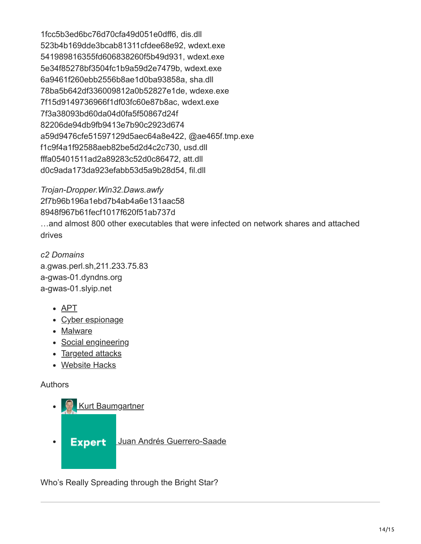1fcc5b3ed6bc76d70cfa49d051e0dff6, dis.dll 523b4b169dde3bcab81311cfdee68e92, wdext.exe 541989816355fd606838260f5b49d931, wdext.exe 5e34f85278bf3504fc1b9a59d2e7479b, wdext.exe 6a9461f260ebb2556b8ae1d0ba93858a, sha.dll 78ba5b642df336009812a0b52827e1de, wdexe.exe 7f15d9149736966f1df03fc60e87b8ac, wdext.exe 7f3a38093bd60da04d0fa5f50867d24f 82206de94db9fb9413e7b90c2923d674 a59d9476cfe51597129d5aec64a8e422, @ae465f.tmp.exe f1c9f4a1f92588aeb82be5d2d4c2c730, usd.dll fffa05401511ad2a89283c52d0c86472, att.dll d0c9ada173da923efabb53d5a9b28d54, fil.dll

*Trojan-Dropper.Win32.Daws.awfy* 2f7b96b196a1ebd7b4ab4a6e131aac58 8948f967b61fecf1017f620f51ab737d …and almost 800 other executables that were infected on network shares and attached drives

*c2 Domains* a.gwas.perl.sh,211.233.75.83 a-gwas-01.dyndns.org a-gwas-01.slyip.net

- [APT](https://securelist.com/tag/apt/)
- [Cyber espionage](https://securelist.com/tag/cyber-espionage/)
- [Malware](https://securelist.com/tag/malware/)
- [Social engineering](https://securelist.com/tag/social-engineering/)
- [Targeted attacks](https://securelist.com/tag/targeted-attacks/)
- [Website Hacks](https://securelist.com/tag/website-hacks/)

#### Authors

- **[Kurt Baumgartner](https://securelist.com/author/kurtb/)**
- **Expert [Juan Andrés Guerrero-Saade](https://securelist.com/author/juanguerrero/)**  $\bullet$

Who's Really Spreading through the Bright Star?